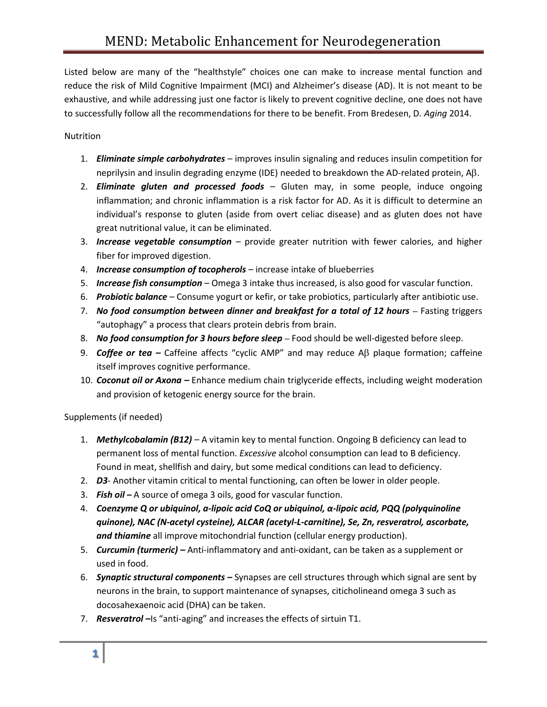Listed below are many of the "healthstyle" choices one can make to increase mental function and reduce the risk of Mild Cognitive Impairment (MCI) and Alzheimer's disease (AD). It is not meant to be exhaustive, and while addressing just one factor is likely to prevent cognitive decline, one does not have to successfully follow all the recommendations for there to be benefit. From Bredesen, D*. Aging* 2014.

## Nutrition

- 1. *Eliminate simple carbohydrates* improves insulin signaling and reduces insulin competition for neprilysin and insulin degrading enzyme (IDE) needed to breakdown the AD-related protein,  $AB$ .
- 2. *Eliminate gluten and processed foods* Gluten may, in some people, induce ongoing inflammation; and chronic inflammation is a risk factor for AD. As it is difficult to determine an individual's response to gluten (aside from overt celiac disease) and as gluten does not have great nutritional value, it can be eliminated.
- 3. *Increase vegetable consumption* provide greater nutrition with fewer calories, and higher fiber for improved digestion.
- 4. *Increase consumption of tocopherols*  increase intake of blueberries
- 5. *Increase fish consumption* Omega 3 intake thus increased, is also good for vascular function.
- 6. *Probiotic balance* Consume yogurt or kefir, or take probiotics, particularly after antibiotic use.
- 7. *No food consumption between dinner and breakfast for a total of 12 hours Fasting triggers* "autophagy" a process that clears protein debris from brain.
- 8. *No food consumption for 3 hours before sleep –* Food should be well-digested before sleep.
- 9. **Coffee or tea** Caffeine affects "cyclic AMP" and may reduce Aβ plaque formation; caffeine itself improves cognitive performance.
- 10. *Coconut oil or Axona –* Enhance medium chain triglyceride effects, including weight moderation and provision of ketogenic energy source for the brain.

Supplements (if needed)

- 1. *Methylcobalamin (B12)* A vitamin key to mental function. Ongoing B deficiency can lead to permanent loss of mental function. *Excessive* alcohol consumption can lead to B deficiency. Found in meat, shellfish and dairy, but some medical conditions can lead to deficiency.
- 2. *D3* Another vitamin critical to mental functioning, can often be lower in older people.
- 3. *Fish oil –* A source of omega 3 oils, good for vascular function.
- 4. *Coenzyme Q or ubiquinol, a-lipoic acid CoQ or ubiquinol, α-lipoic acid, PQQ (polyquinoline quinone), NAC (N-acetyl cysteine), ALCAR (acetyl-L-carnitine), Se, Zn, resveratrol, ascorbate, and thiamine* all improve mitochondrial function (cellular energy production).
- 5. *Curcumin (turmeric) –* Anti-inflammatory and anti-oxidant, can be taken as a supplement or used in food.
- 6. *Synaptic structural components –* Synapses are cell structures through which signal are sent by neurons in the brain, to support maintenance of synapses, citicholineand omega 3 such as docosahexaenoic acid (DHA) can be taken.
- 7. **Resveratrol** Is "anti-aging" and increases the effects of sirtuin T1.